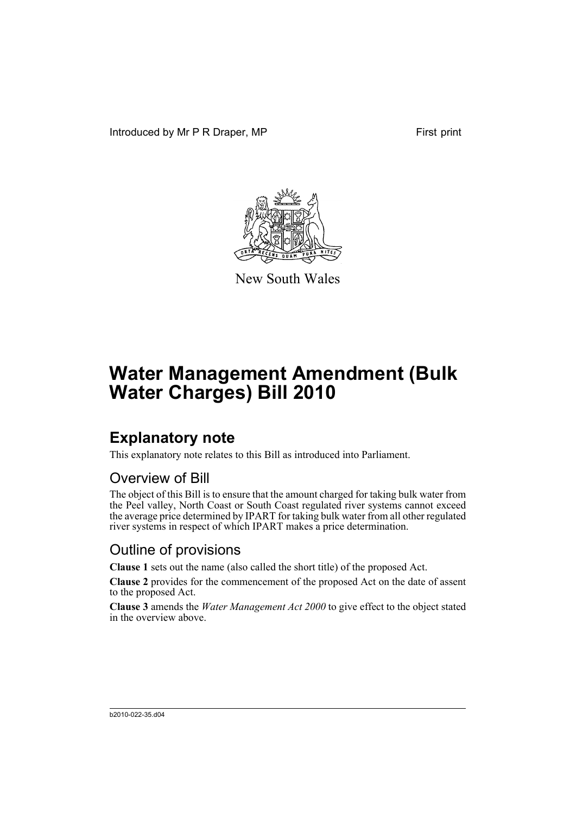Introduced by Mr P R Draper, MP First print



New South Wales

# **Water Management Amendment (Bulk Water Charges) Bill 2010**

### **Explanatory note**

This explanatory note relates to this Bill as introduced into Parliament.

#### Overview of Bill

The object of this Bill is to ensure that the amount charged for taking bulk water from the Peel valley, North Coast or South Coast regulated river systems cannot exceed the average price determined by IPART for taking bulk water from all other regulated river systems in respect of which IPART makes a price determination.

#### Outline of provisions

**Clause 1** sets out the name (also called the short title) of the proposed Act.

**Clause 2** provides for the commencement of the proposed Act on the date of assent to the proposed Act.

**Clause 3** amends the *Water Management Act 2000* to give effect to the object stated in the overview above.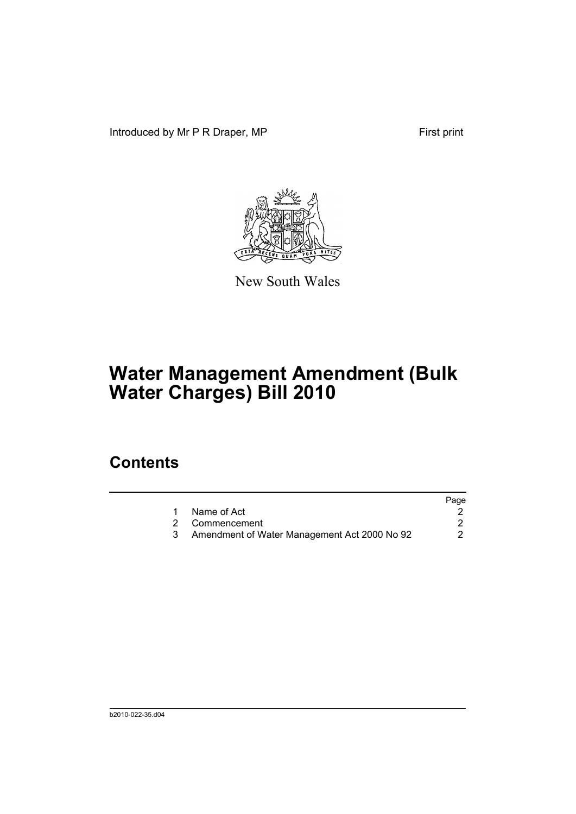Introduced by Mr P R Draper, MP First print



New South Wales

# **Water Management Amendment (Bulk Water Charges) Bill 2010**

### **Contents**

|                                              | Page |
|----------------------------------------------|------|
| Name of Act                                  |      |
| 2 Commencement                               |      |
| Amendment of Water Management Act 2000 No 92 |      |
|                                              |      |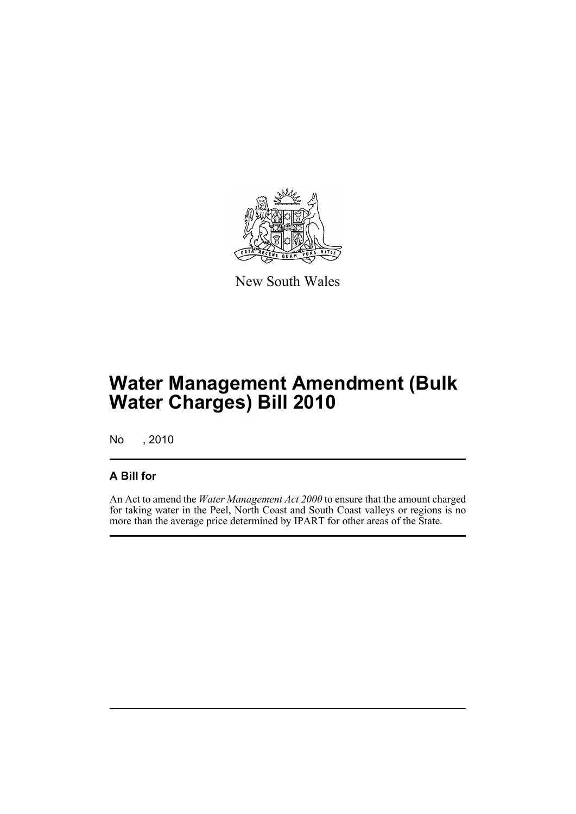

New South Wales

## **Water Management Amendment (Bulk Water Charges) Bill 2010**

No , 2010

#### **A Bill for**

An Act to amend the *Water Management Act 2000* to ensure that the amount charged for taking water in the Peel, North Coast and South Coast valleys or regions is no more than the average price determined by IPART for other areas of the State.